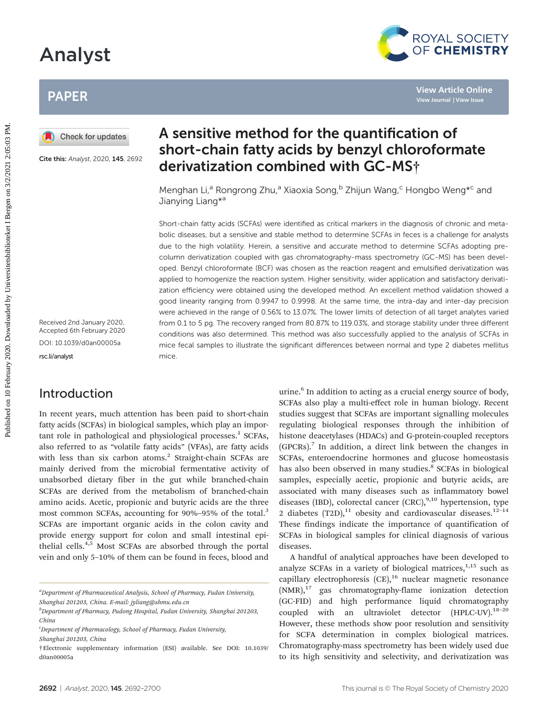# Analyst

## PAPER



Cite this: Analyst, 2020, 145, 2692

Received 2nd January 2020, Accepted 6th February 2020 DOI: 10.1039/d0an00005a

[rsc.li/analyst](www.rsc.li/analyst)

## Introduction

In recent years, much attention has been paid to short-chain fatty acids (SCFAs) in biological samples, which play an important role in pathological and physiological processes. $1$  SCFAs, also referred to as "volatile fatty acids" (VFAs), are fatty acids with less than six carbon atoms.<sup>2</sup> Straight-chain SCFAs are mainly derived from the microbial fermentative activity of unabsorbed dietary fiber in the gut while branched-chain SCFAs are derived from the metabolism of branched-chain amino acids. Acetic, propionic and butyric acids are the three most common SCFAs, accounting for 90%–95% of the total.<sup>3</sup> SCFAs are important organic acids in the colon cavity and provide energy support for colon and small intestinal epithelial cells.4,5 Most SCFAs are absorbed through the portal vein and only 5–10% of them can be found in feces, blood and

## A sensitive method for the quantification of short-chain fatty acids by benzyl chloroformate derivatization combined with GC-MS†

Menghan Li,<sup>a</sup> Rongrong Zhu,<sup>a</sup> Xiaoxia Song,<sup>b</sup> Zhijun Wang,<sup>c</sup> Hongbo Weng\*<sup>c</sup> and Jianying Liang\*<sup>a</sup>

Short-chain fatty acids (SCFAs) were identified as critical markers in the diagnosis of chronic and metabolic diseases, but a sensitive and stable method to determine SCFAs in feces is a challenge for analysts due to the high volatility. Herein, a sensitive and accurate method to determine SCFAs adopting precolumn derivatization coupled with gas chromatography-mass spectrometry (GC-MS) has been developed. Benzyl chloroformate (BCF) was chosen as the reaction reagent and emulsified derivatization was applied to homogenize the reaction system. Higher sensitivity, wider application and satisfactory derivatization efficiency were obtained using the developed method. An excellent method validation showed a good linearity ranging from 0.9947 to 0.9998. At the same time, the intra-day and inter-day precision were achieved in the range of 0.56% to 13.07%. The lower limits of detection of all target analytes varied from 0.1 to 5 pg. The recovery ranged from 80.87% to 119.03%, and storage stability under three different conditions was also determined. This method was also successfully applied to the analysis of SCFAs in mice fecal samples to illustrate the significant differences between normal and type 2 diabetes mellitus mice. Published on Internation and the control of the quantification of show and the straige of the the straige of the control of the control of the control of the distribution of the distribution of the distribution of the dist

urine.<sup>6</sup> In addition to acting as a crucial energy source of body, SCFAs also play a multi-effect role in human biology. Recent studies suggest that SCFAs are important signalling molecules regulating biological responses through the inhibition of histone deacetylases (HDACs) and G-protein-coupled receptors  $(GPCRs).$ <sup>7</sup> In addition, a direct link between the changes in SCFAs, enteroendocrine hormones and glucose homeostasis has also been observed in many studies.<sup>8</sup> SCFAs in biological samples, especially acetic, propionic and butyric acids, are associated with many diseases such as inflammatory bowel diseases (IBD), colorectal cancer  $(CRC)^{9,10}$  hypertension, type 2 diabetes  $(T2D)$ ,<sup>11</sup> obesity and cardiovascular diseases.<sup>12-14</sup> These findings indicate the importance of quantification of SCFAs in biological samples for clinical diagnosis of various diseases.

A handful of analytical approaches have been developed to analyze SCFAs in a variety of biological matrices, $1,15$  such as capillary electrophoresis  $(CE)$ ,<sup>16</sup> nuclear magnetic resonance  $(NMR)<sup>17</sup>$  gas chromatography-flame ionization detection (GC-FID) and high performance liquid chromatography coupled with an ultraviolet detector  $(HPLC-UV).$ <sup>18-20</sup> However, these methods show poor resolution and sensitivity for SCFA determination in complex biological matrices. Chromatography-mass spectrometry has been widely used due to its high sensitivity and selectivity, and derivatization was



<sup>&</sup>lt;sup>a</sup>Department of Pharmaceutical Analysis, School of Pharmacy, Fudan University, Shanghai 201203, China. E-mail: jyliang@shmu.edu.cn

<sup>&</sup>lt;sup>b</sup>Department of Pharmacy, Pudong Hospital, Fudan University, Shanghai 201203, China

c Department of Pharmacology, School of Pharmacy, Fudan University, Shanghai 201203, China

<sup>†</sup>Electronic supplementary information (ESI) available. See DOI: 10.1039/ d0an00005a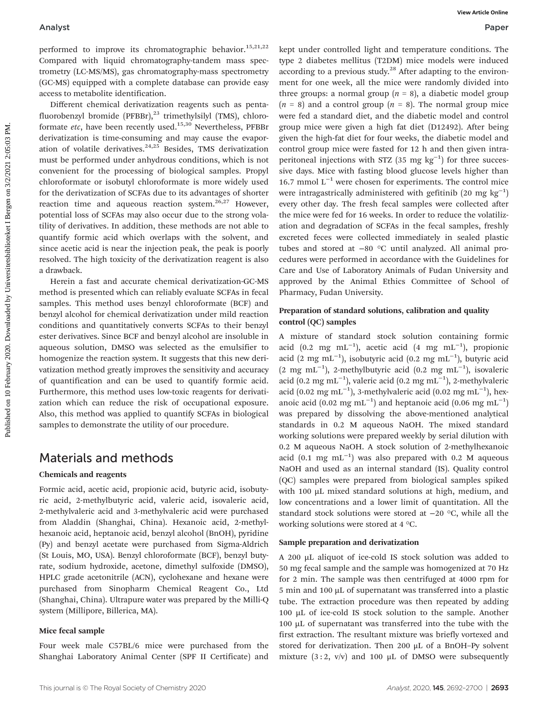performed to improve its chromatographic behavior.<sup>15,21,22</sup> Compared with liquid chromatography-tandem mass spectrometry (LC-MS/MS), gas chromatography-mass spectrometry (GC-MS) equipped with a complete database can provide easy access to metabolite identification.

Different chemical derivatization reagents such as pentafluorobenzyl bromide (PFBBr), $^{23}$  trimethylsilyl (TMS), chloroformate etc, have been recently used.<sup>15,30</sup> Nevertheless, PFBBr derivatization is time-consuming and may cause the evaporation of volatile derivatives. $24,25$  Besides, TMS derivatization must be performed under anhydrous conditions, which is not convenient for the processing of biological samples. Propyl chloroformate or isobutyl chloroformate is more widely used for the derivatization of SCFAs due to its advantages of shorter reaction time and aqueous reaction system.<sup>26,27</sup> However, potential loss of SCFAs may also occur due to the strong volatility of derivatives. In addition, these methods are not able to quantify formic acid which overlaps with the solvent, and since acetic acid is near the injection peak, the peak is poorly resolved. The high toxicity of the derivatization reagent is also a drawback.

Herein a fast and accurate chemical derivatization-GC-MS method is presented which can reliably evaluate SCFAs in fecal samples. This method uses benzyl chloroformate (BCF) and benzyl alcohol for chemical derivatization under mild reaction conditions and quantitatively converts SCFAs to their benzyl ester derivatives. Since BCF and benzyl alcohol are insoluble in aqueous solution, DMSO was selected as the emulsifier to homogenize the reaction system. It suggests that this new derivatization method greatly improves the sensitivity and accuracy of quantification and can be used to quantify formic acid. Furthermore, this method uses low-toxic reagents for derivatization which can reduce the risk of occupational exposure. Also, this method was applied to quantify SCFAs in biological samples to demonstrate the utility of our procedure.

## Materials and methods

## Chemicals and reagents

Formic acid, acetic acid, propionic acid, butyric acid, isobutyric acid, 2-methylbutyric acid, valeric acid, isovaleric acid, 2-methylvaleric acid and 3-methylvaleric acid were purchased from Aladdin (Shanghai, China). Hexanoic acid, 2-methylhexanoic acid, heptanoic acid, benzyl alcohol (BnOH), pyridine (Py) and benzyl acetate were purchased from Sigma-Aldrich (St Louis, MO, USA). Benzyl chloroformate (BCF), benzyl butyrate, sodium hydroxide, acetone, dimethyl sulfoxide (DMSO), HPLC grade acetonitrile (ACN), cyclohexane and hexane were purchased from Sinopharm Chemical Reagent Co., Ltd (Shanghai, China). Ultrapure water was prepared by the Milli-Q system (Millipore, Billerica, MA).

## Mice fecal sample

Four week male C57BL/6 mice were purchased from the Shanghai Laboratory Animal Center (SPF II Certificate) and

kept under controlled light and temperature conditions. The type 2 diabetes mellitus (T2DM) mice models were induced according to a previous study.<sup>28</sup> After adapting to the environment for one week, all the mice were randomly divided into three groups: a normal group  $(n = 8)$ , a diabetic model group  $(n = 8)$  and a control group  $(n = 8)$ . The normal group mice were fed a standard diet, and the diabetic model and control group mice were given a high fat diet (D12492). After being given the high-fat diet for four weeks, the diabetic model and control group mice were fasted for 12 h and then given intraperitoneal injections with STZ  $(35 \text{ mg kg}^{-1})$  for three successive days. Mice with fasting blood glucose levels higher than 16.7 mmol  $L^{-1}$  were chosen for experiments. The control mice were intragastrically administered with gefitinib (20 mg  $\text{kg}^{-1}$ ) every other day. The fresh fecal samples were collected after the mice were fed for 16 weeks. In order to reduce the volatilization and degradation of SCFAs in the fecal samples, freshly excreted feces were collected immediately in sealed plastic tubes and stored at −80 °C until analyzed. All animal procedures were performed in accordance with the Guidelines for Care and Use of Laboratory Animals of Fudan University and approved by the Animal Ethics Committee of School of Pharmacy, Fudan University. Analyst Weaker<br>
Purelet in consequence in consequence in consequence in consequence in the consequence in the consequence in the consequence in the consequence in the consequence in the consequence in the consequence in t

#### Preparation of standard solutions, calibration and quality control (QC) samples

A mixture of standard stock solution containing formic acid (0.2 mg mL<sup>-1</sup>), acetic acid (4 mg mL<sup>-1</sup>), propionic acid (2 mg mL<sup>-1</sup>), isobutyric acid (0.2 mg mL<sup>-1</sup>), butyric acid (2 mg mL−<sup>1</sup> ), 2-methylbutyric acid (0.2 mg mL−<sup>1</sup> ), isovaleric acid (0.2 mg mL<sup>-1</sup>), valeric acid (0.2 mg mL<sup>-1</sup>), 2-methylvaleric acid (0.02 mg mL<sup>-1</sup>), 3-methylvaleric acid (0.02 mg mL<sup>-1</sup>), hexanoic acid (0.02 mg mL<sup>-1</sup>) and heptanoic acid (0.06 mg mL<sup>-1</sup>) was prepared by dissolving the above-mentioned analytical standards in 0.2 M aqueous NaOH. The mixed standard working solutions were prepared weekly by serial dilution with 0.2 M aqueous NaOH. A stock solution of 2-methylhexanoic acid  $(0.1 \text{ mg} \text{ mL}^{-1})$  was also prepared with 0.2 M aqueous NaOH and used as an internal standard (IS). Quality control (QC) samples were prepared from biological samples spiked with 100 µL mixed standard solutions at high, medium, and low concentrations and a lower limit of quantitation. All the standard stock solutions were stored at −20 °C, while all the working solutions were stored at 4 °C.

## Sample preparation and derivatization

A 200 µL aliquot of ice-cold IS stock solution was added to 50 mg fecal sample and the sample was homogenized at 70 Hz for 2 min. The sample was then centrifuged at 4000 rpm for 5 min and 100 µL of supernatant was transferred into a plastic tube. The extraction procedure was then repeated by adding 100 µL of ice-cold IS stock solution to the sample. Another 100 µL of supernatant was transferred into the tube with the first extraction. The resultant mixture was briefly vortexed and stored for derivatization. Then 200 μL of a BnOH–Py solvent mixture  $(3:2, v/v)$  and 100  $\mu$ L of DMSO were subsequently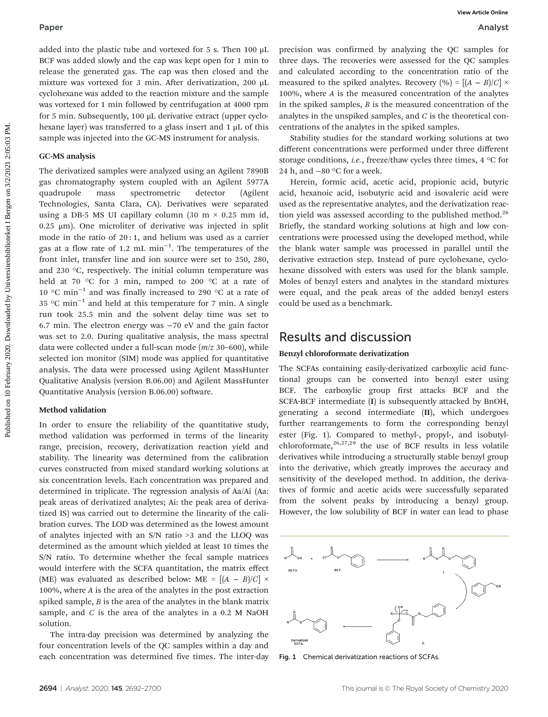added into the plastic tube and vortexed for 5 s. Then 100 μL BCF was added slowly and the cap was kept open for 1 min to release the generated gas. The cap was then closed and the mixture was vortexed for 3 min. After derivatization, 200 μL cyclohexane was added to the reaction mixture and the sample was vortexed for 1 min followed by centrifugation at 4000 rpm for 5 min. Subsequently, 100 μL derivative extract (upper cyclohexane layer) was transferred to a glass insert and 1 μL of this sample was injected into the GC-MS instrument for analysis.

#### GC-MS analysis

The derivatized samples were analyzed using an Agilent 7890B gas chromatography system coupled with an Agilent 5977A quadrupole mass spectrometric detector (Agilent Technologies, Santa Clara, CA). Derivatives were separated using a DB-5 MS UI capillary column (30 m  $\times$  0.25 mm id, 0.25 μm). One microliter of derivative was injected in split mode in the ratio of 20 : 1, and helium was used as a carrier gas at a flow rate of 1.2 mL min−<sup>1</sup> . The temperatures of the front inlet, transfer line and ion source were set to 250, 280, and 230 °C, respectively. The initial column temperature was held at 70 °C for 3 min, ramped to 200 °C at a rate of 10 °C min−<sup>1</sup> and was finally increased to 290 °C at a rate of 35 °C min−<sup>1</sup> and held at this temperature for 7 min. A single run took 25.5 min and the solvent delay time was set to 6.7 min. The electron energy was −70 eV and the gain factor was set to 2.0. During qualitative analysis, the mass spectral data were collected under a full-scan mode  $(m/z 30-600)$ , while selected ion monitor (SIM) mode was applied for quantitative analysis. The data were processed using Agilent MassHunter Qualitative Analysis (version B.06.00) and Agilent MassHunter Quantitative Analysis (version B.06.00) software. **Paper**<br> **Examples the mail version on 2021 Examples the mail version on 2021 Examples the mail version of the mail version of the mail version of the mail version of the mail version of the mail version of the mail v** 

#### Method validation

In order to ensure the reliability of the quantitative study, method validation was performed in terms of the linearity range, precision, recovery, derivatization reaction yield and stability. The linearity was determined from the calibration curves constructed from mixed standard working solutions at six concentration levels. Each concentration was prepared and determined in triplicate. The regression analysis of Aa/Ai (Aa: peak areas of derivatized analytes; Ai: the peak area of derivatized IS) was carried out to determine the linearity of the calibration curves. The LOD was determined as the lowest amount of analytes injected with an S/N ratio >3 and the LLOQ was determined as the amount which yielded at least 10 times the S/N ratio. To determine whether the fecal sample matrices would interfere with the SCFA quantitation, the matrix effect (ME) was evaluated as described below: ME =  $[(A - B)/C] \times$ 100%, where A is the area of the analytes in the post extraction spiked sample,  $B$  is the area of the analytes in the blank matrix sample, and  $C$  is the area of the analytes in a 0.2 M NaOH solution.

The intra-day precision was determined by analyzing the four concentration levels of the QC samples within a day and each concentration was determined five times. The inter-day

precision was confirmed by analyzing the QC samples for three days. The recoveries were assessed for the QC samples and calculated according to the concentration ratio of the measured to the spiked analytes. Recovery  $(\% ) = [(A - B)/C] \times$ 100%, where A is the measured concentration of the analytes in the spiked samples,  $B$  is the measured concentration of the analytes in the unspiked samples, and C is the theoretical concentrations of the analytes in the spiked samples.

Stability studies for the standard working solutions at two different concentrations were performed under three different storage conditions, *i.e.*, freeze/thaw cycles three times,  $4 °C$  for 24 h, and −80 °C for a week.

Herein, formic acid, acetic acid, propionic acid, butyric acid, hexanoic acid, isobutyric acid and isovaleric acid were used as the representative analytes, and the derivatization reaction yield was assessed according to the published method. $^{26}$ Briefly, the standard working solutions at high and low concentrations were processed using the developed method, while the blank water sample was processed in parallel until the derivative extraction step. Instead of pure cyclohexane, cyclohexane dissolved with esters was used for the blank sample. Moles of benzyl esters and analytes in the standard mixtures were equal, and the peak areas of the added benzyl esters could be used as a benchmark.

## Results and discussion

#### Benzyl chloroformate derivatization

The SCFAs containing easily-derivatized carboxylic acid functional groups can be converted into benzyl ester using BCF. The carboxylic group first attacks BCF and the SCFA-BCF intermediate (I) is subsequently attacked by BnOH, generating a second intermediate (II), which undergoes further rearrangements to form the corresponding benzyl ester (Fig. 1). Compared to methyl-, propyl-, and isobutylchloroformate, $26,27,29$  the use of BCF results in less volatile derivatives while introducing a structurally stable benzyl group into the derivative, which greatly improves the accuracy and sensitivity of the developed method. In addition, the derivatives of formic and acetic acids were successfully separated from the solvent peaks by introducing a benzyl group. However, the low solubility of BCF in water can lead to phase



Fig. 1 Chemical derivatization reactions of SCFAs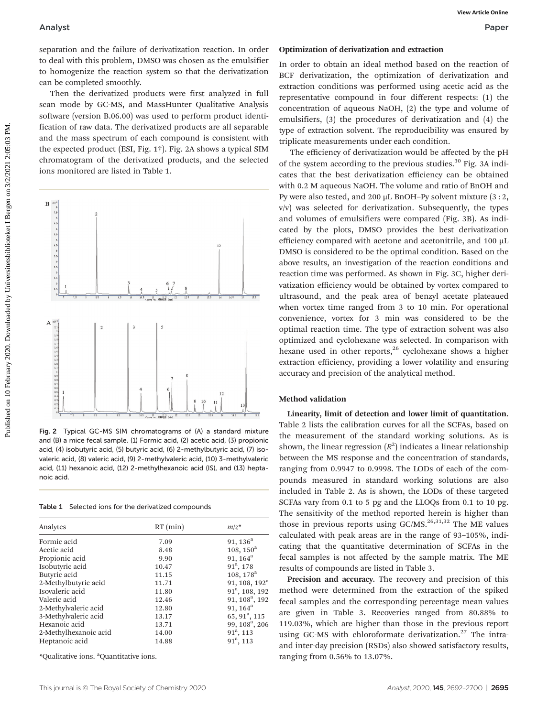separation and the failure of derivatization reaction. In order to deal with this problem, DMSO was chosen as the emulsifier to homogenize the reaction system so that the derivatization can be completed smoothly.

Then the derivatized products were first analyzed in full scan mode by GC-MS, and MassHunter Qualitative Analysis software (version B.06.00) was used to perform product identification of raw data. The derivatized products are all separable and the mass spectrum of each compound is consistent with the expected product (ESI, Fig. 1†). Fig. 2A shows a typical SIM chromatogram of the derivatized products, and the selected ions monitored are listed in Table 1.



Fig. 2 Typical GC-MS SIM chromatograms of (A) a standard mixture and (B) a mice fecal sample. (1) Formic acid, (2) acetic acid, (3) propionic acid, (4) isobutyric acid, (5) butyric acid, (6) 2-methylbutyric acid, (7) isovaleric acid, (8) valeric acid, (9) 2-methylvaleric acid, (10) 3-methylvaleric acid, (11) hexanoic acid, (12) 2-methylhexanoic acid (IS), and (13) heptanoic acid.

|  |  |  |  |  | Table 1 Selected ions for the derivatized compounds |
|--|--|--|--|--|-----------------------------------------------------|
|--|--|--|--|--|-----------------------------------------------------|

| $RT$ (min) | $m/z^*$                    |  |
|------------|----------------------------|--|
| 7.09       | 91, $136^a$                |  |
| 8.48       | $108, 150^{\rm a}$         |  |
| 9.90       | 91, $164^a$                |  |
| 10.47      | $91^a$ , 178               |  |
| 11.15      | 108, 178 <sup>a</sup>      |  |
| 11.71      | 91, 108, 192 <sup>a</sup>  |  |
| 11.80      | 91 <sup>a</sup> , 108, 192 |  |
| 12.46      | 91, 108 <sup>a</sup> , 192 |  |
| 12.80      | 91, $164^a$                |  |
| 13.17      | 65, 91 <sup>a</sup> , 115  |  |
| 13.71      | 99, 108 <sup>a</sup> , 206 |  |
| 14.00      | $91^a$ , 113               |  |
| 14.88      | $91^a$ , 113               |  |
|            |                            |  |

\*Qualitative ions. <sup>a</sup> Quantitative ions.

#### Optimization of derivatization and extraction

In order to obtain an ideal method based on the reaction of BCF derivatization, the optimization of derivatization and extraction conditions was performed using acetic acid as the representative compound in four different respects: (1) the concentration of aqueous NaOH, (2) the type and volume of emulsifiers, (3) the procedures of derivatization and (4) the type of extraction solvent. The reproducibility was ensured by triplicate measurements under each condition.

The efficiency of derivatization would be affected by the pH of the system according to the previous studies.<sup>30</sup> Fig. 3A indicates that the best derivatization efficiency can be obtained with 0.2 M aqueous NaOH. The volume and ratio of BnOH and Py were also tested, and 200 μL BnOH–Py solvent mixture (3 : 2, v/v) was selected for derivatization. Subsequently, the types and volumes of emulsifiers were compared (Fig. 3B). As indicated by the plots, DMSO provides the best derivatization efficiency compared with acetone and acetonitrile, and 100 µL DMSO is considered to be the optimal condition. Based on the above results, an investigation of the reaction conditions and reaction time was performed. As shown in Fig. 3C, higher derivatization efficiency would be obtained by vortex compared to ultrasound, and the peak area of benzyl acetate plateaued when vortex time ranged from 3 to 10 min. For operational convenience, vortex for 3 min was considered to be the optimal reaction time. The type of extraction solvent was also optimized and cyclohexane was selected. In comparison with hexane used in other reports,<sup>26</sup> cyclohexane shows a higher extraction efficiency, providing a lower volatility and ensuring accuracy and precision of the analytical method.

#### Method validation

Linearity, limit of detection and lower limit of quantitation. Table 2 lists the calibration curves for all the SCFAs, based on the measurement of the standard working solutions. As is shown, the linear regression  $(R^2)$  indicates a linear relationship between the MS response and the concentration of standards, ranging from 0.9947 to 0.9998. The LODs of each of the compounds measured in standard working solutions are also included in Table 2. As is shown, the LODs of these targeted SCFAs vary from 0.1 to 5 pg and the LLOQs from 0.1 to 10 pg. The sensitivity of the method reported herein is higher than those in previous reports using GC/MS.<sup>26,31,32</sup> The ME values calculated with peak areas are in the range of 93–105%, indicating that the quantitative determination of SCFAs in the fecal samples is not affected by the sample matrix. The ME results of compounds are listed in Table 3.

Precision and accuracy. The recovery and precision of this method were determined from the extraction of the spiked fecal samples and the corresponding percentage mean values are given in Table 3. Recoveries ranged from 80.88% to 119.03%, which are higher than those in the previous report using GC-MS with chloroformate derivatization.<sup>27</sup> The intraand inter-day precision (RSDs) also showed satisfactory results, ranging from 0.56% to 13.07%.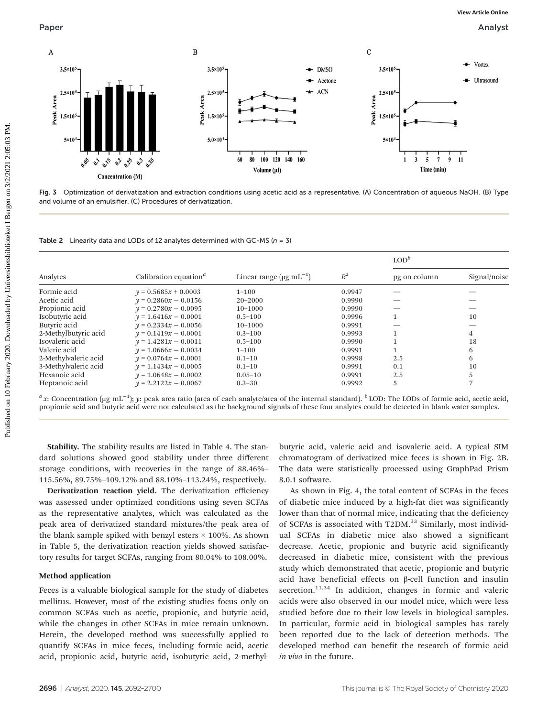



Table 2 Linearity data and LODs of 12 analytes determined with GC-MS ( $n = 3$ )

|                      |                                                |                                   |        | $\text{LOD}^b$ |              |  |
|----------------------|------------------------------------------------|-----------------------------------|--------|----------------|--------------|--|
| Analytes             | Calibration equation <sup><math>a</math></sup> | Linear range $(\mu g \, mL^{-1})$ | $R^2$  | pg on column   | Signal/noise |  |
| Formic acid          | $y = 0.5685x + 0.0003$                         | $1 - 100$                         | 0.9947 |                |              |  |
| Acetic acid          | $v = 0.2860x - 0.0156$                         | $20 - 2000$                       | 0.9990 |                |              |  |
| Propionic acid       | $v = 0.2780x - 0.0095$                         | $10 - 1000$                       | 0.9990 |                |              |  |
| Isobutyric acid      | $v = 1.6416x - 0.0001$                         | $0.5 - 100$                       | 0.9996 |                | 10           |  |
| Butyric acid         | $v = 0.2334x - 0.0056$                         | $10 - 1000$                       | 0.9991 |                |              |  |
| 2-Methylbutyric acid | $v = 0.1419x - 0.0001$                         | $0.3 - 100$                       | 0.9993 |                | 4            |  |
| Isovaleric acid      | $y = 1.4281x - 0.0011$                         | $0.5 - 100$                       | 0.9990 |                | 18           |  |
| Valeric acid         | $v = 1.0666x - 0.0034$                         | $1 - 100$                         | 0.9991 |                | 6            |  |
| 2-Methylvaleric acid | $v = 0.0764x - 0.0001$                         | $0.1 - 10$                        | 0.9998 | 2.5            | 6            |  |
| 3-Methylvaleric acid | $v = 1.1434x - 0.0005$                         | $0.1 - 10$                        | 0.9991 | 0.1            | 10           |  |
| Hexanoic acid        | $v = 1.0648x - 0.0002$                         | $0.05 - 10$                       | 0.9991 | 2.5            |              |  |
| Heptanoic acid       | $v = 2.2122x - 0.0067$                         | $0.3 - 30$                        | 0.9992 | 5              |              |  |

<sup>a</sup>x: Concentration (μg mL<sup>-1</sup>); y: peak area ratio (area of each analyte/area of the internal standard). <sup>b</sup> LOD: The LODs of formic acid, acetic acid, propionic acid and butyric acid were not calculated as the background signals of these four analytes could be detected in blank water samples.

Stability. The stability results are listed in Table 4. The standard solutions showed good stability under three different storage conditions, with recoveries in the range of 88.46%– 115.56%, 89.75%–109.12% and 88.10%–113.24%, respectively.

Derivatization reaction yield. The derivatization efficiency was assessed under optimized conditions using seven SCFAs as the representative analytes, which was calculated as the peak area of derivatized standard mixtures/the peak area of the blank sample spiked with benzyl esters  $\times$  100%. As shown in Table 5, the derivatization reaction yields showed satisfactory results for target SCFAs, ranging from 80.04% to 108.00%.

## Method application

Feces is a valuable biological sample for the study of diabetes mellitus. However, most of the existing studies focus only on common SCFAs such as acetic, propionic, and butyric acid, while the changes in other SCFAs in mice remain unknown. Herein, the developed method was successfully applied to quantify SCFAs in mice feces, including formic acid, acetic acid, propionic acid, butyric acid, isobutyric acid, 2-methylbutyric acid, valeric acid and isovaleric acid. A typical SIM chromatogram of derivatized mice feces is shown in Fig. 2B. The data were statistically processed using GraphPad Prism 8.0.1 software.

As shown in Fig. 4, the total content of SCFAs in the feces of diabetic mice induced by a high-fat diet was significantly lower than that of normal mice, indicating that the deficiency of SCFAs is associated with T2DM.<sup>33</sup> Similarly, most individual SCFAs in diabetic mice also showed a significant decrease. Acetic, propionic and butyric acid significantly decreased in diabetic mice, consistent with the previous study which demonstrated that acetic, propionic and butyric acid have beneficial effects on β-cell function and insulin secretion.<sup>11,34</sup> In addition, changes in formic and valeric acids were also observed in our model mice, which were less studied before due to their low levels in biological samples. In particular, formic acid in biological samples has rarely been reported due to the lack of detection methods. The developed method can benefit the research of formic acid in vivo in the future.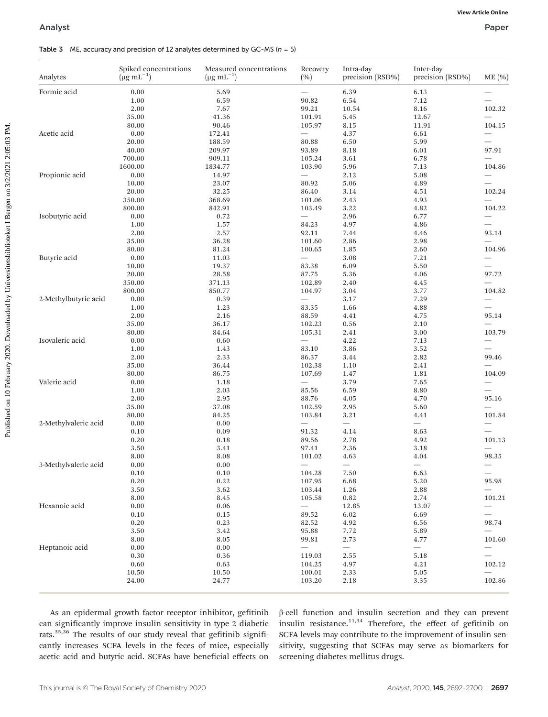#### Table 3 ME, accuracy and precision of 12 analytes determined by GC-MS ( $n = 5$ )

| Analyst              |                                                    |                                                                                   |                          |                               |                               | Paper                              |
|----------------------|----------------------------------------------------|-----------------------------------------------------------------------------------|--------------------------|-------------------------------|-------------------------------|------------------------------------|
|                      |                                                    | Table 3 ME, accuracy and precision of 12 analytes determined by GC-MS ( $n = 5$ ) |                          |                               |                               |                                    |
| Analytes             | Spiked concentrations<br>$(\mu g \text{ mL}^{-1})$ | Measured concentrations<br>$(\mu g \, mL^{-1})$                                   | Recovery<br>(%)          | Intra-day<br>precision (RSD%) | Inter-day<br>precision (RSD%) | ME(%)                              |
| Formic acid          | 0.00                                               | 5.69                                                                              |                          | 6.39                          | 6.13                          |                                    |
|                      | 1.00                                               | 6.59                                                                              | 90.82                    | 6.54                          | 7.12                          |                                    |
|                      | 2.00                                               | 7.67                                                                              | 99.21                    | 10.54                         | 8.16                          | 102.32                             |
|                      | 35.00                                              | 41.36                                                                             | 101.91                   | 5.45                          | 12.67                         |                                    |
|                      | 80.00                                              | 90.46                                                                             | 105.97                   | 8.15                          | 11.91                         | 104.15                             |
| Acetic acid          | 0.00                                               | 172.41                                                                            |                          | 4.37                          | 6.61                          |                                    |
|                      | 20.00                                              | 188.59                                                                            | 80.88                    | 6.50                          | 5.99                          |                                    |
|                      | 40.00                                              | 209.97                                                                            | 93.89                    | 8.18                          | 6.01                          | 97.91                              |
|                      | 700.00                                             | 909.11                                                                            | 105.24                   | 3.61                          | 6.78                          |                                    |
|                      | 1600.00                                            | 1834.77                                                                           | 103.90                   | 5.96                          | 7.13                          | 104.86                             |
| Propionic acid       | 0.00                                               | 14.97                                                                             |                          | 2.12                          | 5.08                          |                                    |
|                      | 10.00                                              | 23.07                                                                             | 80.92                    | 5.06                          | 4.89                          |                                    |
|                      | 20.00                                              | 32.25                                                                             | 86.40                    | 3.14                          | 4.51                          | 102.24                             |
|                      | 350.00                                             | 368.69                                                                            | 101.06                   | 2.43                          | 4.93                          |                                    |
|                      | 800.00                                             | 842.91                                                                            | 103.49                   | 3.22                          | 4.82                          | 104.22                             |
| Isobutyric acid      | 0.00                                               | 0.72                                                                              | $\qquad \qquad$          | 2.96                          | 6.77                          |                                    |
|                      | 1.00                                               | 1.57                                                                              | 84.23                    | 4.97                          | 4.86                          |                                    |
|                      | 2.00                                               | 2.57                                                                              | 92.11                    | 7.44                          | 4.46                          | 93.14                              |
|                      | 35.00                                              | 36.28                                                                             | 101.60                   | 2.86                          | 2.98                          |                                    |
|                      | 80.00                                              | 81.24                                                                             | 100.65                   | 1.85                          | 2.60                          | 104.96                             |
| Butyric acid         | 0.00                                               | 11.03                                                                             |                          | 3.08                          | 7.21                          |                                    |
|                      | 10.00                                              | 19.37                                                                             | 83.38                    | 6.09                          | 5.50                          |                                    |
|                      | 20.00                                              | 28.58                                                                             | 87.75                    | 5.36                          | 4.06                          | 97.72                              |
|                      | 350.00                                             | 371.13                                                                            | 102.89                   | 2.40                          | 4.45                          |                                    |
|                      | 800.00                                             | 850.77                                                                            | 104.97                   | 3.04                          | 3.77                          | 104.82                             |
| 2-Methylbutyric acid | 0.00                                               | 0.39                                                                              |                          | 3.17                          | 7.29                          |                                    |
|                      | 1.00                                               | 1.23                                                                              | 83.35                    | 1.66                          | 4.88                          |                                    |
|                      | 2.00                                               | 2.16                                                                              | 88.59                    | 4.41                          | 4.75                          | 95.14                              |
|                      | 35.00                                              | 36.17                                                                             | 102.23                   | 0.56                          | 2.10                          |                                    |
|                      | 80.00                                              | 84.64                                                                             | 105.31                   | 2.41                          | 3.00                          | 103.79                             |
| Isovaleric acid      | 0.00                                               | 0.60                                                                              |                          | 4.22                          | 7.13                          |                                    |
|                      | 1.00                                               | 1.43                                                                              | 83.10                    | 3.86                          | 3.52                          |                                    |
|                      | 2.00                                               | 2.33                                                                              | 86.37                    | 3.44                          | 2.82                          | 99.46                              |
|                      | 35.00                                              | 36.44                                                                             | 102.38                   | 1.10                          | 2.41                          | $\overline{\phantom{0}}$           |
|                      | 80.00                                              | 86.75                                                                             | 107.69                   | 1.47                          | 1.81                          | 104.09                             |
| Valeric acid         | 0.00                                               | 1.18                                                                              |                          | 3.79                          | 7.65                          |                                    |
|                      | 1.00                                               | 2.03                                                                              | 85.56                    | 6.59                          | 8.80                          |                                    |
|                      | 2.00                                               | 2.95                                                                              | 88.76                    | 4.05                          | 4.70                          | 95.16                              |
|                      | 35.00                                              | 37.08                                                                             | 102.59                   | 2.95                          | 5.60                          |                                    |
|                      | 80.00                                              | 84.25                                                                             | 103.84                   | 3.21                          | 4.41                          | 101.84                             |
| 2-Methylvaleric acid | 0.00                                               | $0.00\,$                                                                          |                          |                               |                               |                                    |
|                      | $0.10\,$                                           | 0.09                                                                              | 91.32                    | 4.14                          | 8.63                          | $\qquad \qquad -$                  |
|                      | 0.20                                               | $0.18\,$                                                                          | 89.56                    | 2.78                          | 4.92                          | 101.13                             |
|                      | 3.50                                               | 3.41                                                                              | 97.41                    | 2.36                          | 3.18                          |                                    |
|                      | 8.00                                               | 8.08                                                                              | 101.02                   | 4.63                          | 4.04                          | 98.35                              |
| 3-Methylvaleric acid | $0.00\,$                                           | 0.00                                                                              | $\overline{\phantom{0}}$ | $\overline{\phantom{0}}$      | $\overline{\phantom{0}}$      | $\overline{\phantom{0}}$           |
|                      | 0.10                                               | $0.10\,$                                                                          | 104.28                   | 7.50                          | 6.63                          | $\overline{\phantom{0}}$           |
|                      | 0.20                                               | 0.22                                                                              | 107.95                   | 6.68                          | 5.20                          | 95.98                              |
|                      | 3.50                                               | 3.62                                                                              | 103.44                   | 1.26                          | 2.88                          | $\overline{\phantom{0}}$           |
|                      | 8.00                                               | 8.45                                                                              | 105.58                   | $\rm 0.82$                    | 2.74                          | 101.21                             |
| Hexanoic acid        | $0.00\,$                                           | 0.06                                                                              | $\overline{\phantom{0}}$ | 12.85                         | 13.07                         |                                    |
|                      | 0.10                                               | 0.15                                                                              | 89.52                    | 6.02                          | 6.69                          | —<br>$\overline{\phantom{0}}$      |
|                      | 0.20                                               | 0.23                                                                              | 82.52                    |                               | 6.56                          | 98.74                              |
|                      |                                                    |                                                                                   |                          | 4.92                          |                               |                                    |
|                      | 3.50                                               | 3.42                                                                              | 95.88                    | 7.72                          | 5.89                          | $\qquad \qquad -$                  |
|                      | 8.00                                               | 8.05                                                                              | 99.81                    | 2.73                          | 4.77                          | 101.60                             |
| Heptanoic acid       | 0.00                                               | 0.00                                                                              | $\qquad \qquad -$        | $\overline{\phantom{0}}$      | $\overline{\phantom{0}}$      | $\overline{\phantom{0}}$           |
|                      | 0.30                                               | 0.36<br>0.63                                                                      | 119.03                   | 2.55                          | 5.18                          | $\overline{\phantom{0}}$           |
|                      |                                                    |                                                                                   | 104.25                   | 4.97                          | 4.21                          | 102.12                             |
|                      | 0.60                                               |                                                                                   |                          |                               |                               |                                    |
|                      | 10.50<br>24.00                                     | 10.50<br>24.77                                                                    | 100.01<br>103.20         | 2.33<br>2.18                  | 5.05<br>3.35                  | $\overline{\phantom{0}}$<br>102.86 |

As an epidermal growth factor receptor inhibitor, gefitinib can significantly improve insulin sensitivity in type 2 diabetic rats.35,36 The results of our study reveal that gefitinib significantly increases SCFA levels in the feces of mice, especially acetic acid and butyric acid. SCFAs have beneficial effects on β-cell function and insulin secretion and they can prevent insulin resistance. $11,34$  Therefore, the effect of gefitinib on SCFA levels may contribute to the improvement of insulin sensitivity, suggesting that SCFAs may serve as biomarkers for screening diabetes mellitus drugs.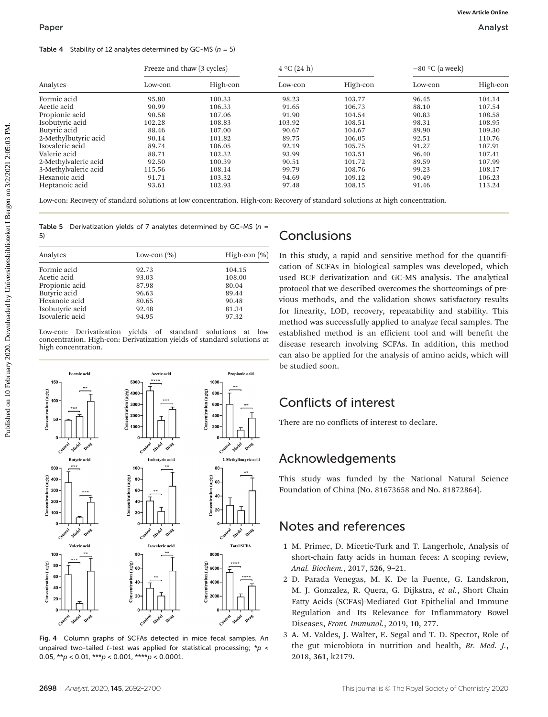#### Table 4 Stability of 12 analytes determined by GC-MS ( $n = 5$ )

|                                                                                                                                                                                                                                                                                                  |                 | Freeze and thaw (3 cycles)<br>$4^{\circ}C(24 h)$ |                    |                                                                                                                                                                                                                                                                | $-80$ °C (a week) |          |
|--------------------------------------------------------------------------------------------------------------------------------------------------------------------------------------------------------------------------------------------------------------------------------------------------|-----------------|--------------------------------------------------|--------------------|----------------------------------------------------------------------------------------------------------------------------------------------------------------------------------------------------------------------------------------------------------------|-------------------|----------|
| Analytes                                                                                                                                                                                                                                                                                         | Low-con         | High-con                                         | Low-con            | High-con                                                                                                                                                                                                                                                       | Low-con           | High-con |
| Formic acid                                                                                                                                                                                                                                                                                      | 95.80           | 100.33                                           | 98.23              | 103.77                                                                                                                                                                                                                                                         | 96.45             | 104.14   |
| Acetic acid                                                                                                                                                                                                                                                                                      | 90.99           | 106.33                                           | 91.65              | 106.73                                                                                                                                                                                                                                                         | 88.10             | 107.54   |
| Propionic acid                                                                                                                                                                                                                                                                                   | 90.58           | 107.06                                           | 91.90              | 104.54                                                                                                                                                                                                                                                         | 90.83             | 108.58   |
| Isobutyric acid                                                                                                                                                                                                                                                                                  | 102.28          | 108.83                                           | 103.92             | 108.51                                                                                                                                                                                                                                                         | 98.31             | 108.95   |
| Butyric acid                                                                                                                                                                                                                                                                                     | 88.46           | 107.00                                           | 90.67              | 104.67                                                                                                                                                                                                                                                         | 89.90             | 109.30   |
| 2-Methylbutyric acid                                                                                                                                                                                                                                                                             | 90.14           | 101.82                                           | 89.75              | 106.05                                                                                                                                                                                                                                                         | 92.51             | 110.76   |
| Isovaleric acid                                                                                                                                                                                                                                                                                  | 89.74           | 106.05                                           | 92.19              | 105.75                                                                                                                                                                                                                                                         | 91.27             | 107.91   |
| Valeric acid                                                                                                                                                                                                                                                                                     | 88.71           | 102.32                                           | 93.99              | 103.51                                                                                                                                                                                                                                                         | 96.40             | 107.41   |
| 2-Methylvaleric acid                                                                                                                                                                                                                                                                             | 92.50           | 100.39                                           | 90.51              | 101.72                                                                                                                                                                                                                                                         | 89.59             | 107.99   |
| 3-Methylvaleric acid                                                                                                                                                                                                                                                                             | 115.56          | 108.14                                           | 99.79              | 108.76                                                                                                                                                                                                                                                         | 99.23             | 108.17   |
| Hexanoic acid                                                                                                                                                                                                                                                                                    | 91.71           | 103.32                                           | 94.69              | 109.12                                                                                                                                                                                                                                                         | 90.49             | 106.23   |
| Heptanoic acid                                                                                                                                                                                                                                                                                   | 93.61           | 102.93                                           | 97.48              | 108.15                                                                                                                                                                                                                                                         | 91.46             | 113.24   |
| Table 5 Derivatization yields of 7 analytes determined by GC-MS ( $n =$<br>5)                                                                                                                                                                                                                    |                 |                                                  | <b>Conclusions</b> |                                                                                                                                                                                                                                                                |                   |          |
|                                                                                                                                                                                                                                                                                                  |                 |                                                  |                    |                                                                                                                                                                                                                                                                |                   |          |
|                                                                                                                                                                                                                                                                                                  | Low-con $(\% )$ | High-con $(\% )$                                 |                    | In this study, a rapid and sensitive method for the quantifi-                                                                                                                                                                                                  |                   |          |
|                                                                                                                                                                                                                                                                                                  | 92.73           | 104.15                                           |                    | cation of SCFAs in biological samples was developed, which                                                                                                                                                                                                     |                   |          |
|                                                                                                                                                                                                                                                                                                  | 93.03           | 108.00                                           |                    | used BCF derivatization and GC-MS analysis. The analytical                                                                                                                                                                                                     |                   |          |
|                                                                                                                                                                                                                                                                                                  | 87.98           | 80.04                                            |                    |                                                                                                                                                                                                                                                                |                   |          |
|                                                                                                                                                                                                                                                                                                  | 96.63           | 89.44                                            |                    | protocol that we described overcomes the shortcomings of pre-                                                                                                                                                                                                  |                   |          |
|                                                                                                                                                                                                                                                                                                  | 80.65           | 90.48                                            |                    | vious methods, and the validation shows satisfactory results                                                                                                                                                                                                   |                   |          |
|                                                                                                                                                                                                                                                                                                  | 92.48           | 81.34                                            |                    |                                                                                                                                                                                                                                                                |                   |          |
|                                                                                                                                                                                                                                                                                                  | 94.95           | 97.32                                            |                    | for linearity, LOD, recovery, repeatability and stability. This                                                                                                                                                                                                |                   |          |
| Analytes<br>Formic acid<br>Acetic acid<br>Propionic acid<br>Butyric acid<br>Hexanoic acid<br>Isobutyric acid<br>Isovaleric acid<br>Low-con: Derivatization yields of standard solutions at low<br>concentration. High-con: Derivatization yields of standard solutions at<br>high concentration. |                 |                                                  |                    | method was successfully applied to analyze fecal samples. The<br>established method is an efficient tool and will benefit the<br>disease research involving SCFAs. In addition, this method<br>can also be applied for the analysis of amino acids, which will |                   |          |
|                                                                                                                                                                                                                                                                                                  |                 |                                                  | be studied soon.   |                                                                                                                                                                                                                                                                |                   |          |

Table 5 Derivatization yields of 7 analytes determined by GC-MS ( $n =$ 

| Analytes        | Low-con $(\% )$ | High-con $(\%)$ |  |
|-----------------|-----------------|-----------------|--|
| Formic acid     | 92.73           | 104.15          |  |
| Acetic acid     | 93.03           | 108.00          |  |
| Propionic acid  | 87.98           | 80.04           |  |
| Butyric acid    | 96.63           | 89.44           |  |
| Hexanoic acid   | 80.65           | 90.48           |  |
| Isobutyric acid | 92.48           | 81.34           |  |
| Isovaleric acid | 94.95           | 97.32           |  |
|                 |                 |                 |  |



Fig. 4 Column graphs of SCFAs detected in mice fecal samples. An unpaired two-tailed t-test was applied for statistical processing;  $*p <$ 0.05,  $* p < 0.01$ ,  $* * p < 0.001$ ,  $* * * p < 0.0001$ .

## Conclusions

## Conflicts of interest

## Acknowledgements

This study was funded by the National Natural Science Foundation of China (No. 81673658 and No. 81872864).

## Notes and references

- 1 M. Primec, D. Micetic-Turk and T. Langerholc, Analysis of short-chain fatty acids in human feces: A scoping review, Anal. Biochem., 2017, 526, 9–21.
- 2 D. Parada Venegas, M. K. De la Fuente, G. Landskron, M. J. Gonzalez, R. Quera, G. Dijkstra, et al., Short Chain Fatty Acids (SCFAs)-Mediated Gut Epithelial and Immune Regulation and Its Relevance for Inflammatory Bowel Diseases, Front. Immunol., 2019, 10, 277.
- 3 A. M. Valdes, J. Walter, E. Segal and T. D. Spector, Role of the gut microbiota in nutrition and health, Br. Med. J., 2018, 361, k2179.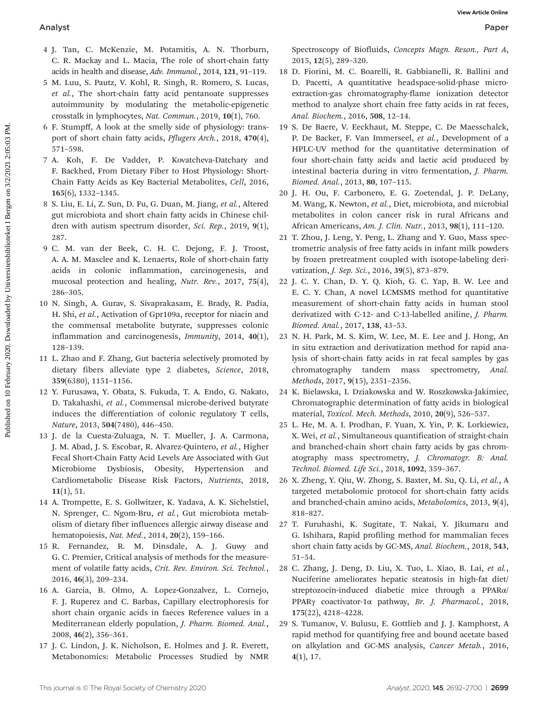- 4 J. Tan, C. McKenzie, M. Potamitis, A. N. Thorburn, C. R. Mackay and L. Macia, The role of short-chain fatty acids in health and disease, Adv. Immunol., 2014, 121, 91–119.
- 5 M. Luu, S. Pautz, V. Kohl, R. Singh, R. Romero, S. Lucas, et al., The short-chain fatty acid pentanoate suppresses autoimmunity by modulating the metabolic-epigenetic crosstalk in lymphocytes, Nat. Commun., 2019, 10(1), 760.
- 6 F. Stumpff, A look at the smelly side of physiology: transport of short chain fatty acids, Pflugers Arch., 2018, 470(4), 571–598.
- 7 A. Koh, F. De Vadder, P. Kovatcheva-Datchary and F. Backhed, From Dietary Fiber to Host Physiology: Short-Chain Fatty Acids as Key Bacterial Metabolites, Cell, 2016, 165(6), 1332–1345.
- 8 S. Liu, E. Li, Z. Sun, D. Fu, G. Duan, M. Jiang, et al., Altered gut microbiota and short chain fatty acids in Chinese children with autism spectrum disorder, Sci. Rep., 2019, 9(1), 287.
- 9 C. M. van der Beek, C. H. C. Dejong, F. J. Troost, A. A. M. Masclee and K. Lenaerts, Role of short-chain fatty acids in colonic inflammation, carcinogenesis, and mucosal protection and healing, Nutr. Rev., 2017, 75(4), 286–305.
- 10 N. Singh, A. Gurav, S. Sivaprakasam, E. Brady, R. Padia, H. Shi, et al., Activation of Gpr109a, receptor for niacin and the commensal metabolite butyrate, suppresses colonic inflammation and carcinogenesis, Immunity, 2014, 40(1), 128–139.
- 11 L. Zhao and F. Zhang, Gut bacteria selectively promoted by dietary fibers alleviate type 2 diabetes, Science, 2018, 359(6380), 1151–1156.
- 12 Y. Furusawa, Y. Obata, S. Fukuda, T. A. Endo, G. Nakato, D. Takahashi, et al., Commensal microbe-derived butyrate induces the differentiation of colonic regulatory T cells, Nature, 2013, 504(7480), 446–450.
- 13 J. de la Cuesta-Zuluaga, N. T. Mueller, J. A. Carmona, J. M. Abad, J. S. Escobar, R. Alvarez-Quintero, et al., Higher Fecal Short-Chain Fatty Acid Levels Are Associated with Gut Microbiome Dysbiosis, Obesity, Hypertension and Cardiometabolic Disease Risk Factors, Nutrients, 2018, 11(1), 51.
- 14 A. Trompette, E. S. Gollwitzer, K. Yadava, A. K. Sichelstiel, N. Sprenger, C. Ngom-Bru, et al., Gut microbiota metabolism of dietary fiber influences allergic airway disease and hematopoiesis, Nat. Med., 2014, 20(2), 159–166.
- 15 R. Fernandez, R. M. Dinsdale, A. J. Guwy and G. C. Premier, Critical analysis of methods for the measurement of volatile fatty acids, Crit. Rev. Environ. Sci. Technol., 2016, 46(3), 209–234.
- 16 A. Garcia, B. Olmo, A. Lopez-Gonzalvez, L. Cornejo, F. J. Ruperez and C. Barbas, Capillary electrophoresis for short chain organic acids in faeces Reference values in a Mediterranean elderly population, J. Pharm. Biomed. Anal., 2008, 46(2), 356–361.
- 17 J. C. Lindon, J. K. Nicholson, E. Holmes and J. R. Everett, Metabonomics: Metabolic Processes Studied by NMR

Spectroscopy of Biofluids, Concepts Magn. Reson., Part A, 2015, 12(5), 289–320.

- 18 D. Fiorini, M. C. Boarelli, R. Gabbianelli, R. Ballini and D. Pacetti, A quantitative headspace-solid-phase microextraction-gas chromatography-flame ionization detector method to analyze short chain free fatty acids in rat feces, Anal. Biochem., 2016, 508, 12–14.
- 19 S. De Baere, V. Eeckhaut, M. Steppe, C. De Maesschalck, P. De Backer, F. Van Immerseel, et al., Development of a HPLC-UV method for the quantitative determination of four short-chain fatty acids and lactic acid produced by intestinal bacteria during in vitro fermentation, J. Pharm. Biomed. Anal., 2013, 80, 107–115. **Analyst Web Article Continuous** (**Solution**) (**Solution**) (**Solution**) (**Solution**) (**Solution**) (**Solution**) (**Solution**) (**Solution**) (**Solution**) (**Solution**) (**Solution**) (**Solution**) (**Solution**) (**Solution**) (**Solu** 
	- 20 J. H. Ou, F. Carbonero, E. G. Zoetendal, J. P. DeLany, M. Wang, K. Newton, et al., Diet, microbiota, and microbial metabolites in colon cancer risk in rural Africans and African Americans, Am. J. Clin. Nutr., 2013, 98(1), 111–120.
	- 21 T. Zhou, J. Leng, Y. Peng, L. Zhang and Y. Guo, Mass spectrometric analysis of free fatty acids in infant milk powders by frozen pretreatment coupled with isotope-labeling derivatization, J. Sep. Sci., 2016, 39(5), 873–879.
	- 22 J. C. Y. Chan, D. Y. Q. Kioh, G. C. Yap, B. W. Lee and E. C. Y. Chan, A novel LCMSMS method for quantitative measurement of short-chain fatty acids in human stool derivatized with C-12- and C-13-labelled aniline, J. Pharm. Biomed. Anal., 2017, 138, 43–53.
	- 23 N. H. Park, M. S. Kim, W. Lee, M. E. Lee and J. Hong, An in situ extraction and derivatization method for rapid analysis of short-chain fatty acids in rat fecal samples by gas chromatography tandem mass spectrometry, Anal. Methods, 2017, 9(15), 2351–2356.
	- 24 K. Bielawska, I. Dziakowska and W. Roszkowska-Jakimiec, Chromatographic determination of fatty acids in biological material, Toxicol. Mech. Methods, 2010, 20(9), 526–537.
	- 25 L. He, M. A. I. Prodhan, F. Yuan, X. Yin, P. K. Lorkiewicz, X. Wei, et al., Simultaneous quantification of straight-chain and branched-chain short chain fatty acids by gas chromatography mass spectrometry, J. Chromatogr. B: Anal. Technol. Biomed. Life Sci., 2018, 1092, 359–367.
	- 26 X. Zheng, Y. Qiu, W. Zhong, S. Baxter, M. Su, Q. Li, et al., A targeted metabolomic protocol for short-chain fatty acids and branched-chain amino acids, Metabolomics, 2013, 9(4), 818–827.
	- 27 T. Furuhashi, K. Sugitate, T. Nakai, Y. Jikumaru and G. Ishihara, Rapid profiling method for mammalian feces short chain fatty acids by GC-MS, Anal. Biochem., 2018, 543, 51–54.
	- 28 C. Zhang, J. Deng, D. Liu, X. Tuo, L. Xiao, B. Lai, et al., Nuciferine ameliorates hepatic steatosis in high-fat diet/ streptozocin-induced diabetic mice through a PPARα/ PPARγ coactivator-1α pathway, Br. J. Pharmacol., 2018, 175(22), 4218–4228.
	- 29 S. Tumanov, V. Bulusu, E. Gottlieb and J. J. Kamphorst, A rapid method for quantifying free and bound acetate based on alkylation and GC-MS analysis, Cancer Metab., 2016, 4(1), 17.